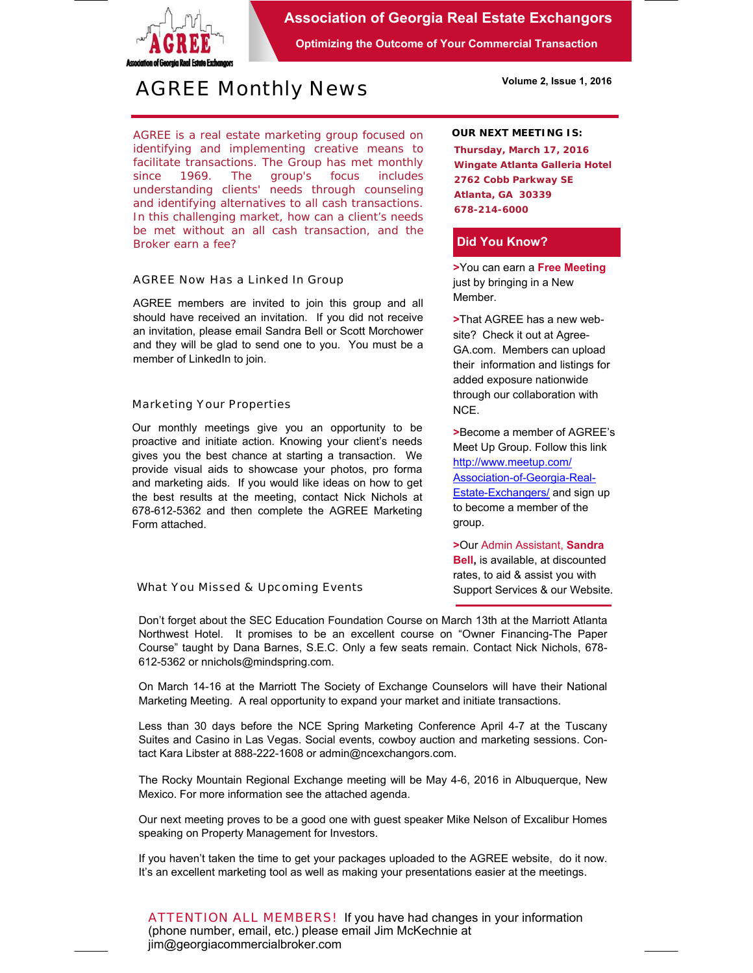

## **Association of Georgia Real Estate Exchangors**

**Optimizing the Outcome of Your Commercial Transaction** 

# *AGREE Monthly News*

**Volume 2, Issue 1, 2016** 

AGREE is a real estate marketing group focused on identifying and implementing creative means to facilitate transactions. *The Group has met monthly since 1969.* The group's focus includes understanding clients' needs through counseling and identifying alternatives to all cash transactions. In this challenging market, how can a client's needs be met without an all cash transaction, and the Broker earn a fee?

### *AGREE Now Has a Linked In Group*

AGREE members are invited to join this group and all should have received an invitation. If you did not receive an invitation, please email Sandra Bell or Scott Morchower and they will be glad to send one to you. You must be a member of LinkedIn to join.

### *Marketing Your Properties*

Our monthly meetings give you an opportunity to be proactive and initiate action. Knowing your client's needs gives you the best chance at starting a transaction. We provide visual aids to showcase your photos, pro forma and marketing aids. If you would like ideas on how to get the best results at the meeting, contact Nick Nichols at 678-612-5362 and then complete the AGREE Marketing Form attached.

*What You Missed & Upcoming Events* 

### **OUR NEXT MEETING IS:**

**Thursday, March 17, 2016 Wingate Atlanta Galleria Hotel 2762 Cobb Parkway SE Atlanta, GA 30339 678-214-6000** 

### **Did You Know?**

**>**You can earn a **Free Meeting**  just by bringing in a New Member.

**>**That AGREE has a new website? Check it out at Agree-GA.com. Members can upload their information and listings for added exposure nationwide through our collaboration with NCE.

**>**Become a member of AGREE's Meet Up Group. Follow this link http://www.meetup.com/ Association-of-Georgia-Real-Estate-Exchangers/ and sign up to become a member of the group.

**>**Our Admin Assistant, **Sandra Bell,** is available, at discounted rates, to aid & assist you with Support Services & our Website.

Don't forget about the SEC Education Foundation Course on March 13th at the Marriott Atlanta Northwest Hotel. It promises to be an excellent course on "Owner Financing-The Paper Course" taught by Dana Barnes, S.E.C. Only a few seats remain. Contact Nick Nichols, 678- 612-5362 or nnichols@mindspring.com.

On March 14-16 at the Marriott The Society of Exchange Counselors will have their National Marketing Meeting. A real opportunity to expand your market and initiate transactions.

Less than 30 days before the NCE Spring Marketing Conference April 4-7 at the Tuscany Suites and Casino in Las Vegas. Social events, cowboy auction and marketing sessions. Contact Kara Libster at 888-222-1608 or admin@ncexchangors.com.

The Rocky Mountain Regional Exchange meeting will be May 4-6, 2016 in Albuquerque, New Mexico. For more information see the attached agenda.

Our next meeting proves to be a good one with guest speaker Mike Nelson of Excalibur Homes speaking on Property Management for Investors.

If you haven't taken the time to get your packages uploaded to the AGREE website, do it now. It's an excellent marketing tool as well as making your presentations easier at the meetings.

*ATTENTION ALL MEMBERS!* If you have had changes in your information (phone number, email, etc.) please email Jim McKechnie at jim@georgiacommercialbroker.com